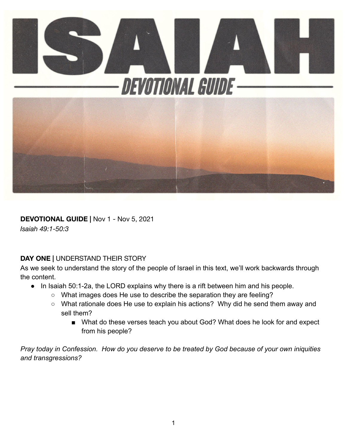

#### **DEVOTIONAL GUIDE |** Nov 1 - Nov 5, 2021

*Isaiah 49:1-50:3*

#### **DAY ONE |** UNDERSTAND THEIR STORY

As we seek to understand the story of the people of Israel in this text, we'll work backwards through the content.

- In Isaiah 50:1-2a, the LORD explains why there is a rift between him and his people.
	- What images does He use to describe the separation they are feeling?
	- What rationale does He use to explain his actions? Why did he send them away and sell them?
		- What do these verses teach you about God? What does he look for and expect from his people?

*Pray today in Confession. How do you deserve to be treated by God because of your own iniquities and transgressions?*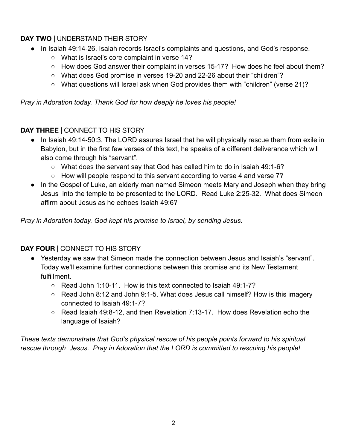# **DAY TWO |** UNDERSTAND THEIR STORY

- In Isaiah 49:14-26, Isaiah records Israel's complaints and questions, and God's response.
	- What is Israel's core complaint in verse 14?
	- How does God answer their complaint in verses 15-17? How does he feel about them?
	- What does God promise in verses 19-20 and 22-26 about their "children"?
	- What questions will Israel ask when God provides them with "children" (verse 21)?

*Pray in Adoration today. Thank God for how deeply he loves his people!*

## **DAY THREE |** CONNECT TO HIS STORY

- In Isaiah 49:14-50:3, The LORD assures Israel that he will physically rescue them from exile in Babylon, but in the first few verses of this text, he speaks of a different deliverance which will also come through his "servant".
	- What does the servant say that God has called him to do in Isaiah 49:1-6?
	- How will people respond to this servant according to verse 4 and verse 7?
- In the Gospel of Luke, an elderly man named Simeon meets Mary and Joseph when they bring Jesus into the temple to be presented to the LORD. Read Luke 2:25-32. What does Simeon affirm about Jesus as he echoes Isaiah 49:6?

*Pray in Adoration today. God kept his promise to Israel, by sending Jesus.*

## **DAY FOUR |** CONNECT TO HIS STORY

- Yesterday we saw that Simeon made the connection between Jesus and Isaiah's "servant". Today we'll examine further connections between this promise and its New Testament fulfillment.
	- $\circ$  Read John 1:10-11. How is this text connected to Isaiah 49:1-7?
	- Read John 8:12 and John 9:1-5. What does Jesus call himself? How is this imagery connected to Isaiah 49:1-7?
	- $\circ$  Read Isaiah 49:8-12, and then Revelation 7:13-17. How does Revelation echo the language of Isaiah?

*These texts demonstrate that God's physical rescue of his people points forward to his spiritual rescue through Jesus. Pray in Adoration that the LORD is committed to rescuing his people!*